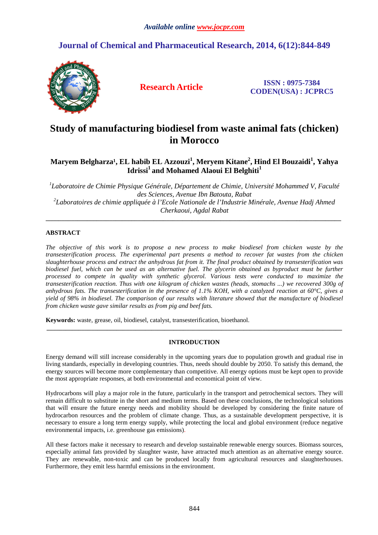# **Journal of Chemical and Pharmaceutical Research, 2014, 6(12):844-849**



**Research Article ISSN : 0975-7384 CODEN(USA) : JCPRC5**

# **Study of manufacturing biodiesel from waste animal fats (chicken) in Morocco**

# **Maryem Belgharza¹, EL habib EL Azzouzi<sup>1</sup> , Meryem Kitane<sup>2</sup> , Hind El Bouzaidi<sup>1</sup> , Yahya Idrissi<sup>1</sup>and Mohamed Alaoui El Belghiti<sup>1</sup>**

*1 Laboratoire de Chimie Physique Générale, Département de Chimie, Université Mohammed V, Faculté des Sciences, Avenue Ibn Batouta, Rabat 2 Laboratoires de chimie appliquée à l'Ecole Nationale de l'Industrie Minérale, Avenue Hadj Ahmed Cherkaoui, Agdal Rabat* 

**\_\_\_\_\_\_\_\_\_\_\_\_\_\_\_\_\_\_\_\_\_\_\_\_\_\_\_\_\_\_\_\_\_\_\_\_\_\_\_\_\_\_\_\_\_\_\_\_\_\_\_\_\_\_\_\_\_\_\_\_\_\_\_\_\_\_\_\_\_\_\_\_\_\_\_\_\_\_\_\_\_\_\_\_\_\_\_\_\_\_\_\_\_** 

# **ABSTRACT**

*The objective of this work is to propose a new process to make biodiesel from chicken waste by the transesterification process. The experimental part presents a method to recover fat wastes from the chicken slaughterhouse process and extract the anhydrous fat from it. The final product obtained by transesterification was biodiesel fuel, which can be used as an alternative fuel. The glycerin obtained as byproduct must be further processed to compete in quality with synthetic glycerol. Various tests were conducted to maximize the transesterification reaction. Thus with one kilogram of chicken wastes (heads, stomachs ...) we recovered 300g of anhydrous fats. The transesterification in the presence of 1.1% KOH, with a catalyzed reaction at 60°C, gives a yield of 98% in biodiesel. The comparison of our results with literature showed that the manufacture of biodiesel from chicken waste gave similar results as from pig and beef fats.* 

**Keywords:** waste, grease, oil, biodiesel, catalyst, transesterification, bioethanol.

# **INTRODUCTION**

**\_\_\_\_\_\_\_\_\_\_\_\_\_\_\_\_\_\_\_\_\_\_\_\_\_\_\_\_\_\_\_\_\_\_\_\_\_\_\_\_\_\_\_\_\_\_\_\_\_\_\_\_\_\_\_\_\_\_\_\_\_\_\_\_\_\_\_\_\_\_\_\_\_\_\_\_\_\_\_\_\_\_\_\_\_\_\_\_\_\_\_\_\_** 

Energy demand will still increase considerably in the upcoming years due to population growth and gradual rise in living standards, especially in developing countries. Thus, needs should double by 2050. To satisfy this demand, the energy sources will become more complementary than competitive. All energy options must be kept open to provide the most appropriate responses, at both environmental and economical point of view.

Hydrocarbons will play a major role in the future, particularly in the transport and petrochemical sectors. They will remain difficult to substitute in the short and medium terms. Based on these conclusions, the technological solutions that will ensure the future energy needs and mobility should be developed by considering the finite nature of hydrocarbon resources and the problem of climate change. Thus, as a sustainable development perspective, it is necessary to ensure a long term energy supply, while protecting the local and global environment (reduce negative environmental impacts, i.e. greenhouse gas emissions).

All these factors make it necessary to research and develop sustainable renewable energy sources. Biomass sources, especially animal fats provided by slaughter waste, have attracted much attention as an alternative energy source. They are renewable, non-toxic and can be produced locally from agricultural resources and slaughterhouses. Furthermore, they emit less harmful emissions in the environment.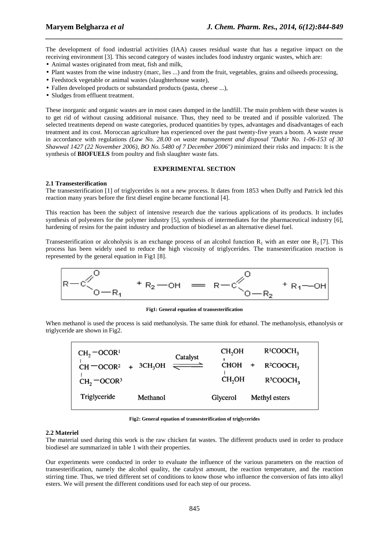The development of food industrial activities (IAA) causes residual waste that has a negative impact on the receiving environment [3]. This second category of wastes includes food industry organic wastes, which are:

*\_\_\_\_\_\_\_\_\_\_\_\_\_\_\_\_\_\_\_\_\_\_\_\_\_\_\_\_\_\_\_\_\_\_\_\_\_\_\_\_\_\_\_\_\_\_\_\_\_\_\_\_\_\_\_\_\_\_\_\_\_\_\_\_\_\_\_\_\_\_\_\_\_\_\_\_\_\_*

- Animal wastes originated from meat, fish and milk,
- Plant wastes from the wine industry (marc, lies ...) and from the fruit, vegetables, grains and oilseeds processing,
- Feedstock vegetable or animal wastes (slaughterhouse waste),
- Fallen developed products or substandard products (pasta, cheese ...),
- Sludges from effluent treatment.

These inorganic and organic wastes are in most cases dumped in the landfill. The main problem with these wastes is to get rid of without causing additional nuisance. Thus, they need to be treated and if possible valorized. The selected treatments depend on waste categories, produced quantities by types, advantages and disadvantages of each treatment and its cost. Moroccan agriculture has experienced over the past twenty-five years a boom. A waste reuse in accordance with regulations *(Law No. 28.00 on waste management and disposal "Dahir No. 1-06-153 of 30 Shawwal 1427 (22 November 2006), BO No. 5480 of 7 December 2006")* minimized their risks and impacts: It is the synthesis of **BIOFUELS** from poultry and fish slaughter waste fats.

### **EXPERIMENTAL SECTION**

### **2.1 Transesterification**

The transesterification [1] of triglycerides is not a new process. It dates from 1853 when Duffy and Patrick led this reaction many years before the first diesel engine became functional [4].

This reaction has been the subject of intensive research due the various applications of its products. It includes synthesis of polyesters for the polymer industry [5], synthesis of intermediates for the pharmaceutical industry [6], hardening of resins for the paint industry and production of biodiesel as an alternative diesel fuel.

Transesterification or alcoholysis is an exchange process of an alcohol function  $R_1$  with an ester one  $R_2$  [7]. This process has been widely used to reduce the high viscosity of triglycerides. The transesterification reaction is represented by the general equation in Fig1 [8].



**Fig1: General equation of transesterification** 

When methanol is used the process is said methanolysis. The same think for ethanol. The methanolysis, ethanolysis or triglyceride are shown in Fig2.

| $CH2$ -OCOR <sup>1</sup><br>$CH = OCOR2$ | $+$ 3CH <sub>3</sub> OH $\rightleftharpoons$ | Catalyst | CH <sub>2</sub> OH<br><b>CHOH</b> | $R^{1}COOCH_{3}$<br>$R^2COOCH3$ |
|------------------------------------------|----------------------------------------------|----------|-----------------------------------|---------------------------------|
| $CH2$ – OCOR <sup>3</sup>                |                                              |          | CH <sub>2</sub> OH                | $R^3$ COOCH <sub>2</sub>        |
| Triglyceride                             | Methanol                                     |          | Glycerol                          | Methyl esters                   |

**Fig2: General equation of transesterification of triglycerides** 

#### **2.2 Materiel**

The material used during this work is the raw chicken fat wastes. The different products used in order to produce biodiesel are summarized in table 1 with their properties.

Our experiments were conducted in order to evaluate the influence of the various parameters on the reaction of transesterification, namely the alcohol quality, the catalyst amount, the reaction temperature, and the reaction stirring time. Thus, we tried different set of conditions to know those who influence the conversion of fats into alkyl esters. We will present the different conditions used for each step of our process.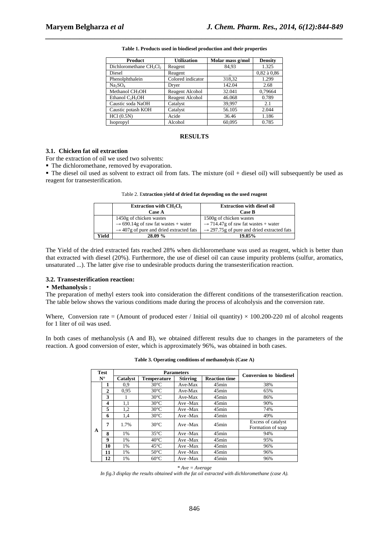| <b>Product</b>                  | <b>Utilization</b> | Molar mass g/mol | <b>Density</b>  |
|---------------------------------|--------------------|------------------|-----------------|
| Dichloromethane $CH_2Cl_2$      | Reagent            | 84,93            | 1.325           |
| Diesel                          | Reagent            |                  | $0.82$ à $0.86$ |
| Phenolphthalein                 | Colored indicator  | 318,32           | 1.299           |
| Na <sub>2</sub> SO <sub>4</sub> | Dryer              | 142.04           | 2.68            |
| Methanol CH <sub>3</sub> OH     | Reagent Alcohol    | 32.041           | 0,79664         |
| Ethanol $C_2H_5OH$              | Reagent Alcohol    | 46.068           | 0.789           |
| Caustic soda NaOH               | Catalyst           | 39.997           | 2.1             |
| Caustic potash KOH              | Catalyst           | 56.105           | 2.044           |
| HC1(0.5N)                       | Acide              | 36.46            | 1.186           |
| <b>Isopropyl</b>                | Alcohol            | 60,095           | 0.785           |

*\_\_\_\_\_\_\_\_\_\_\_\_\_\_\_\_\_\_\_\_\_\_\_\_\_\_\_\_\_\_\_\_\_\_\_\_\_\_\_\_\_\_\_\_\_\_\_\_\_\_\_\_\_\_\_\_\_\_\_\_\_\_\_\_\_\_\_\_\_\_\_\_\_\_\_\_\_\_* **Table 1. Products used in biodiesel production and their properties** 

#### **RESULTS**

#### **3.1. Chicken fat oil extraction**

For the extraction of oil we used two solvents:

• The dichloromethane, removed by evaporation.

 The diesel oil used as solvent to extract oil from fats. The mixture (oil + diesel oil) will subsequently be used as reagent for transesterification.

|       | Extraction with $CH2Cl2$<br><b>Case A</b>                                                                                         | <b>Extraction with diesel oil</b><br><b>Case B</b>                                                                                   |
|-------|-----------------------------------------------------------------------------------------------------------------------------------|--------------------------------------------------------------------------------------------------------------------------------------|
|       | 1450g of chicken wastes<br>$\rightarrow$ 690.14g of raw fat wastes + water<br>$\rightarrow$ 407g of pure and dried extracted fats | 1500g of chicken wastes<br>$\rightarrow$ 714.47g of raw fat wastes + water<br>$\rightarrow$ 297.75g of pure and dried extracted fats |
| Yield | 28.09 %                                                                                                                           | 19.85%                                                                                                                               |

Table 2. E**xtraction yield of dried fat depending on the used reagent**

The Yield of the dried extracted fats reached 28% when dichloromethane was used as reagent, which is better than that extracted with diesel (20%). Furthermore, the use of diesel oil can cause impurity problems (sulfur, aromatics, unsaturated ...). The latter give rise to undesirable products during the transesterification reaction.

#### **3.2. Transesterification reaction:**

#### • **Methanolysis :**

The preparation of methyl esters took into consideration the different conditions of the transesterification reaction. The table below shows the various conditions made during the process of alcoholysis and the conversion rate.

Where, Conversion rate = (Amount of produced ester / Initial oil quantity)  $\times$  100.200-220 ml of alcohol reagents for 1 liter of oil was used.

In both cases of methanolysis (A and B), we obtained different results due to changes in the parameters of the reaction. A good conversion of ester, which is approximately 96%, was obtained in both cases.

|                     | Table 5. Operating conditions of inemanorysis (Case A) |                   |                    |                 |                      |                                         |  |
|---------------------|--------------------------------------------------------|-------------------|--------------------|-----------------|----------------------|-----------------------------------------|--|
| Test<br>$N^{\circ}$ |                                                        | <b>Parameters</b> |                    |                 |                      |                                         |  |
|                     |                                                        | Catalyst          | <b>Temperature</b> | <b>Stirring</b> | <b>Reaction time</b> | <b>Conversion to biodiesel</b>          |  |
|                     | 1                                                      | 0.9               | $30^{\circ}$ C     | Ave-Max         | $45$ min             | 38%                                     |  |
|                     | $\overline{c}$                                         | 0.95              | $30^{\circ}$ C     | Ave-Max         | $45$ min             | 65%                                     |  |
|                     | 3                                                      |                   | $30^{\circ}$ C     | Ave-Max         | 45min                | 86%                                     |  |
|                     | 4                                                      | 1,1               | $30^{\circ}$ C     | Ave -Max        | 45min                | 90%                                     |  |
|                     | 5                                                      | 1,2               | $30^{\circ}$ C     | Ave -Max        | $45$ min             | 74%                                     |  |
|                     | 6                                                      | 1,4               | $30^{\circ}$ C     | Ave -Max        | 45min                | 49%                                     |  |
|                     | 7                                                      | 1.7%              | $30^{\circ}$ C     | Ave -Max        | $45$ min             | Excess of catalyst<br>Formation of soap |  |
| A                   | 8                                                      | 1%                | $35^{\circ}$ C     | Ave -Max        | 45min                | 94%                                     |  |
|                     | 9                                                      | 1%                | $40^{\circ}$ C     | Ave -Max        | $45$ min             | 95%                                     |  |
|                     | 10                                                     | 1%                | $45^{\circ}$ C     | Ave -Max        | $45$ min             | 96%                                     |  |
|                     | 11                                                     | 1%                | $50^{\circ}$ C     | Ave -Max        | 45min                | 96%                                     |  |
|                     | 12                                                     | 1%                | $60^{\circ}$ C     | Ave -Max        | 45min                | 96%                                     |  |

**Table 3. Operating conditions of methanolysis (Case A)** 

*In fig.3 display the results obtained with the fat oil extracted with dichloromethane (case A).* 

*<sup>\*</sup> Ave = Average*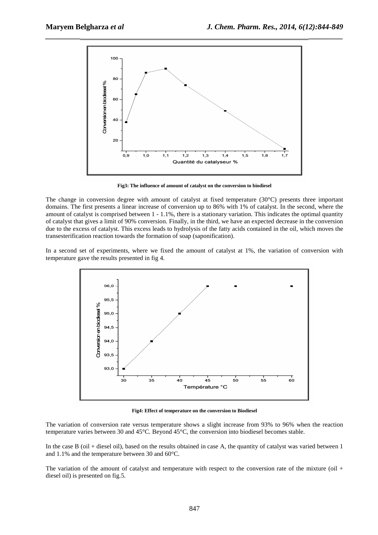

**Fig3: The influence of amount of catalyst on the conversion to biodiesel** 

The change in conversion degree with amount of catalyst at fixed temperature (30°C) presents three important domains. The first presents a linear increase of conversion up to 86% with 1% of catalyst. In the second, where the amount of catalyst is comprised between 1 - 1.1%, there is a stationary variation. This indicates the optimal quantity of catalyst that gives a limit of 90% conversion. Finally, in the third, we have an expected decrease in the conversion due to the excess of catalyst. This excess leads to hydrolysis of the fatty acids contained in the oil, which moves the transesterification reaction towards the formation of soap (saponification).

In a second set of experiments, where we fixed the amount of catalyst at 1%, the variation of conversion with temperature gave the results presented in fig 4.



**Fig4: Effect of temperature on the conversion to Biodiesel** 

The variation of conversion rate versus temperature shows a slight increase from 93% to 96% when the reaction temperature varies between 30 and 45°C. Beyond 45°C, the conversion into biodiesel becomes stable.

In the case B (oil + diesel oil), based on the results obtained in case A, the quantity of catalyst was varied between 1 and 1.1% and the temperature between 30 and 60°C.

The variation of the amount of catalyst and temperature with respect to the conversion rate of the mixture (oil + diesel oil) is presented on fig.5.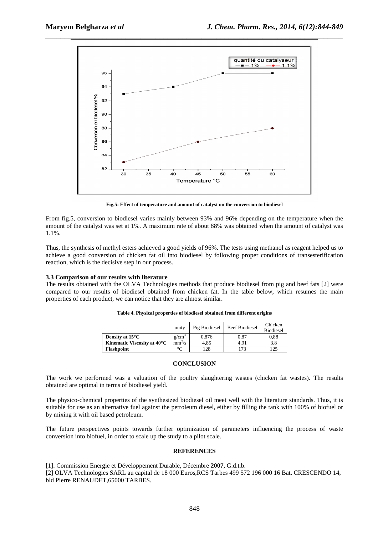

**Fig.5: Effect of temperature and amount of catalyst on the conversion to biodiesel** 

From fig.5, conversion to biodiesel varies mainly between 93% and 96% depending on the temperature when the amount of the catalyst was set at 1%. A maximum rate of about 88% was obtained when the amount of catalyst was 1.1%.

Thus, the synthesis of methyl esters achieved a good yields of 96%. The tests using methanol as reagent helped us to achieve a good conversion of chicken fat oil into biodiesel by following proper conditions of transesterification reaction, which is the decisive step in our process.

# **3.3 Comparison of our results with literature**

The results obtained with the OLVA Technologies methods that produce biodiesel from pig and beef fats [2] were compared to our results of biodiesel obtained from chicken fat. In the table below, which resumes the main properties of each product, we can notice that they are almost similar.

|                             | unity              | Pig Biodiesel | <b>Beef Biodiesel</b> | Chicken<br><b>Biodiesel</b> |
|-----------------------------|--------------------|---------------|-----------------------|-----------------------------|
| Density at $15^{\circ}$ C   | $g/cm^3$           | 0.876         | 0.87                  | 0.88                        |
| Kinematic Viscosity at 40°C | mm <sup>2</sup> /s | 4.85          | 4.91                  | 3.8                         |
| <b>Flashpoint</b>           | $\sim$             | 128           | 173                   | 125                         |

**Table 4. Physical properties of biodiesel obtained from different origins** 

# **CONCLUSION**

The work we performed was a valuation of the poultry slaughtering wastes (chicken fat wastes). The results obtained are optimal in terms of biodiesel yield.

The physico-chemical properties of the synthesized biodiesel oil meet well with the literature standards. Thus, it is suitable for use as an alternative fuel against the petroleum diesel, either by filling the tank with 100% of biofuel or by mixing it with oil based petroleum.

The future perspectives points towards further optimization of parameters influencing the process of waste conversion into biofuel, in order to scale up the study to a pilot scale.

# **REFERENCES**

[1]. Commission Energie et Développement Durable, Décembre **2007**, G.d.t.b.

[2] OLVA Technologies SARL au capital de 18 000 Euros,RCS Tarbes 499 572 196 000 16 Bat. CRESCENDO 14, bld Pierre RENAUDET,65000 TARBES.